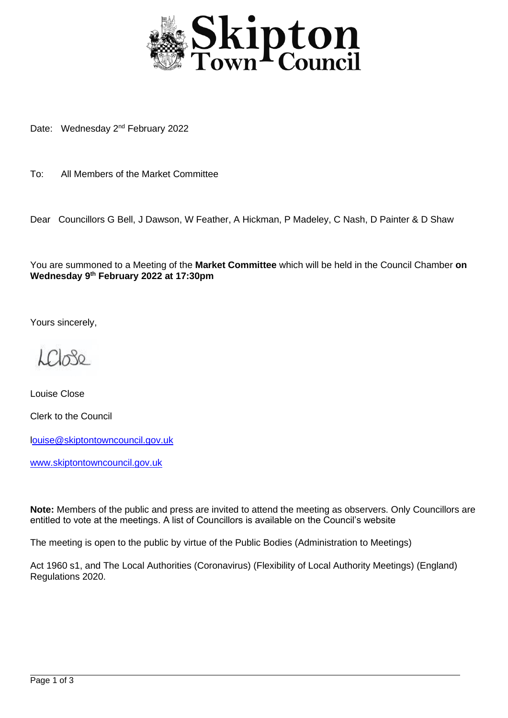

Date: Wednesday 2<sup>nd</sup> February 2022

To: All Members of the Market Committee

Dear Councillors G Bell, J Dawson, W Feather, A Hickman, P Madeley, C Nash, D Painter & D Shaw

You are summoned to a Meeting of the **Market Committee** which will be held in the Council Chamber **on Wednesday 9 th February 2022 at 17:30pm**

Yours sincerely,

LCL080

Louise Close Clerk to the Council

[louise@skiptontowncouncil.gov.uk](mailto:ouise@skiptontowncouncil.gov.uk)

[www.skiptontowncouncil.gov.uk](http://www.skiptontowncouncil.gov.uk/)

**Note:** Members of the public and press are invited to attend the meeting as observers. Only Councillors are entitled to vote at the meetings. A list of Councillors is available on the Council's website

The meeting is open to the public by virtue of the Public Bodies (Administration to Meetings)

Act 1960 s1, and The Local Authorities (Coronavirus) (Flexibility of Local Authority Meetings) (England) Regulations 2020.

j.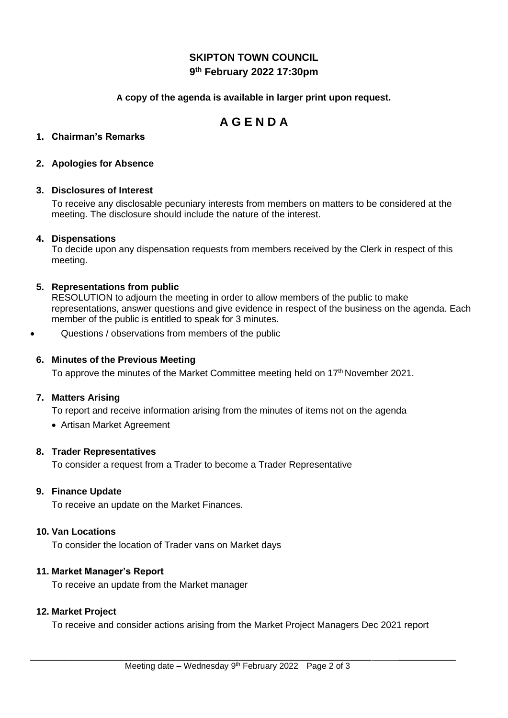# **SKIPTON TOWN COUNCIL 9 th February 2022 17:30pm**

## **A copy of the agenda is available in larger print upon request.**

# **A G E N D A**

## **1. Chairman's Remarks**

## **2. Apologies for Absence**

## **3. Disclosures of Interest**

To receive any disclosable pecuniary interests from members on matters to be considered at the meeting. The disclosure should include the nature of the interest.

## **4. Dispensations**

To decide upon any dispensation requests from members received by the Clerk in respect of this meeting.

## **5. Representations from public**

RESOLUTION to adjourn the meeting in order to allow members of the public to make representations, answer questions and give evidence in respect of the business on the agenda. Each member of the public is entitled to speak for 3 minutes.

• Questions / observations from members of the public

## **6. Minutes of the Previous Meeting**

To approve the minutes of the Market Committee meeting held on 17<sup>th</sup> November 2021.

## **7. Matters Arising**

To report and receive information arising from the minutes of items not on the agenda

• Artisan Market Agreement

## **8. Trader Representatives**

To consider a request from a Trader to become a Trader Representative

## **9. Finance Update**

To receive an update on the Market Finances.

## **10. Van Locations**

To consider the location of Trader vans on Market days

## **11. Market Manager's Report**

To receive an update from the Market manager

## **12. Market Project**

To receive and consider actions arising from the Market Project Managers Dec 2021 report

\_\_\_\_\_\_\_\_\_\_\_\_\_\_\_\_\_\_\_\_\_\_\_\_\_\_\_\_\_\_\_\_\_\_\_\_\_\_\_\_\_\_\_\_\_\_\_\_\_\_\_\_\_\_\_\_\_\_\_\_ \_\_\_\_\_\_\_\_\_\_